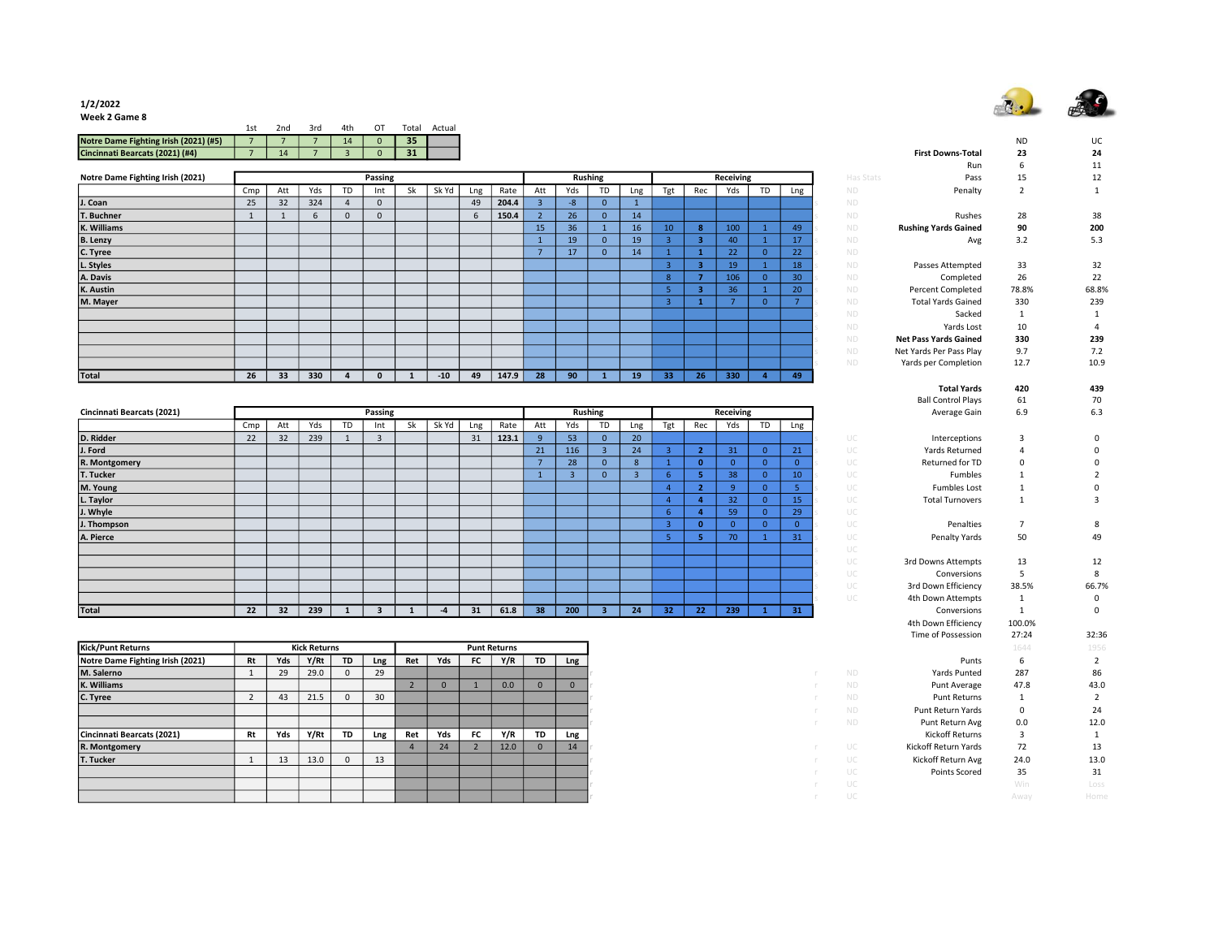

1/2/2022 Week 2 Game 8

| ---------------                       |     |     |                    |          |       |        |
|---------------------------------------|-----|-----|--------------------|----------|-------|--------|
|                                       | 1st | 2nd | . 3rd 4th OT Total |          |       | Actual |
| Notre Dame Fighting Irish (2021) (#5) |     | 77  | 14                 | $\sim$ 0 | 35    |        |
| $Cincinn2$ Poarcate (2021) $(HA)$     |     |     |                    |          | $-24$ |        |

|                                  |     |                 |     |          |         |    |       |     |       |     |     |                |     |                 |     |           |    |     |           | ,,,,,,                       | ັ     | .     |
|----------------------------------|-----|-----------------|-----|----------|---------|----|-------|-----|-------|-----|-----|----------------|-----|-----------------|-----|-----------|----|-----|-----------|------------------------------|-------|-------|
| Notre Dame Fighting Irish (2021) |     |                 |     |          | Passing |    |       |     |       |     |     | <b>Rushing</b> |     |                 |     | Receiving |    |     | Has Stats | Pass                         | 15    | 12    |
|                                  | Cmp | Att             | Yds | TD       | Int     | Sk | Sk Yd | Lng | Rate  | Att | Yds | <b>TD</b>      | Lng | Tgt             | Rec | Yds       | TD | Lng | <b>ND</b> | Penalty                      | 2     |       |
| J. Coan                          | 25  | 32              | 324 |          |         |    |       | 49  | 204.4 |     | -8  | $\Omega$       |     |                 |     |           |    |     | <b>ND</b> |                              |       |       |
| T. Buchner                       |     |                 |     | $\Omega$ |         |    |       |     | 150.4 |     | 26  | $\Omega$       | 14  |                 |     |           |    |     | <b>ND</b> | Rushes                       | 28    | 38    |
| K. Williams                      |     |                 |     |          |         |    |       |     |       | 15  | 36  |                | 16  | 10 <sup>°</sup> |     | 100       |    | 49  | ND.       | <b>Rushing Yards Gained</b>  | 90    | 200   |
| <b>B.</b> Lenzy                  |     |                 |     |          |         |    |       |     |       |     | 19  | $\mathbf{0}$   | 19  |                 |     | 40        |    | 17  | <b>ND</b> | Avg                          | 3.2   | 5.3   |
| C. Tyree                         |     |                 |     |          |         |    |       |     |       |     | 17  | $\mathbf{0}$   | 14  |                 |     | 22        |    | 22  | <b>ND</b> |                              |       |       |
| L. Styles                        |     |                 |     |          |         |    |       |     |       |     |     |                |     |                 |     | 19        |    | 18  | <b>ND</b> | Passes Attempted             | 33    | 32    |
| A. Davis                         |     |                 |     |          |         |    |       |     |       |     |     |                |     | 8               |     | 106       |    | 30  | <b>ND</b> | Completed                    | 26    | 22    |
| K. Austin                        |     |                 |     |          |         |    |       |     |       |     |     |                |     |                 |     | 36        |    | 20  | <b>ND</b> | <b>Percent Completed</b>     | 78.8% | 68.8% |
| M. Mayer                         |     |                 |     |          |         |    |       |     |       |     |     |                |     |                 |     |           |    |     | <b>ND</b> | <b>Total Yards Gained</b>    | 330   | 239   |
|                                  |     |                 |     |          |         |    |       |     |       |     |     |                |     |                 |     |           |    |     | <b>ND</b> | Sacked                       |       |       |
|                                  |     |                 |     |          |         |    |       |     |       |     |     |                |     |                 |     |           |    |     | <b>ND</b> | Yards Lost                   | 10    |       |
|                                  |     |                 |     |          |         |    |       |     |       |     |     |                |     |                 |     |           |    |     | <b>ND</b> | <b>Net Pass Yards Gained</b> | 330   | 239   |
|                                  |     |                 |     |          |         |    |       |     |       |     |     |                |     |                 |     |           |    |     | ND.       | Net Yards Per Pass Play      | 9.7   | 7.2   |
|                                  |     |                 |     |          |         |    |       |     |       |     |     |                |     |                 |     |           |    |     | <b>ND</b> | Yards per Completion         | 12.7  | 10.9  |
| Total                            | 26  | 33 <sup>2</sup> | 330 |          |         |    | $-10$ | 49  | 147.9 | 28  | 90  |                | 19  | 33              | 26  | 330       |    | 49  |           |                              |       |       |

|                            |     |     |     |           |                |    |       |     |       |     |     |                |     |                 |                          |           |           |          |    | <b>DUIL COLLECT LIGAN</b> | ັ            | ,,    |
|----------------------------|-----|-----|-----|-----------|----------------|----|-------|-----|-------|-----|-----|----------------|-----|-----------------|--------------------------|-----------|-----------|----------|----|---------------------------|--------------|-------|
| Cincinnati Bearcats (2021) |     |     |     |           | Passing        |    |       |     |       |     |     | <b>Rushing</b> |     |                 |                          | Receiving |           |          |    | Average Gain              | 6.9          | 6.3   |
|                            | Cmp | Att | Yds | <b>TD</b> | Int            | Sk | Sk Yd | Lng | Rate  | Att | Yds | TD             | Lng | Tgt             | Rec                      | Yds       | <b>TD</b> | Lng      |    |                           |              |       |
| D. Ridder                  | 22  | 32  | 239 |           | $\overline{3}$ |    |       | 31  | 123.1 |     | 53  | $\Omega$       | 20  |                 |                          |           |           |          | UC | Interceptions             | $\mathbf{3}$ |       |
| J. Ford                    |     |     |     |           |                |    |       |     |       | 21  | 116 |                | 24  |                 | $\overline{\phantom{a}}$ | 31        |           | 21       | UC | Yards Returned            |              |       |
| R. Montgomery              |     |     |     |           |                |    |       |     |       |     | 28  | $\Omega$       |     |                 | $\mathbf{0}$             |           |           | $\Omega$ | UC | Returned for TD           | $\Omega$     |       |
| T. Tucker                  |     |     |     |           |                |    |       |     |       |     |     | $\mathbf{0}$   |     |                 | ь                        | 38        |           | 10       | UC | Fumbles                   |              |       |
| M. Young                   |     |     |     |           |                |    |       |     |       |     |     |                |     |                 | $\overline{2}$           | $\Omega$  |           |          | UC | <b>Fumbles Lost</b>       |              |       |
| L. Taylor                  |     |     |     |           |                |    |       |     |       |     |     |                |     |                 |                          | 32        |           | 15       | UC | <b>Total Turnovers</b>    |              |       |
| J. Whyle                   |     |     |     |           |                |    |       |     |       |     |     |                |     |                 |                          | 59        |           | 29       | UC |                           |              |       |
| J. Thompson                |     |     |     |           |                |    |       |     |       |     |     |                |     |                 | $\Omega$                 |           |           | $\Omega$ | UC | Penalties                 |              | 8     |
| A. Pierce                  |     |     |     |           |                |    |       |     |       |     |     |                |     |                 | 5.                       | 70        |           | 31       | UC | Penalty Yards             | 50           | 49    |
|                            |     |     |     |           |                |    |       |     |       |     |     |                |     |                 |                          |           |           |          | UC |                           |              |       |
|                            |     |     |     |           |                |    |       |     |       |     |     |                |     |                 |                          |           |           |          | UC | 3rd Downs Attempts        | 13           | 12    |
|                            |     |     |     |           |                |    |       |     |       |     |     |                |     |                 |                          |           |           |          | UC | Conversions               | .5           | 8     |
|                            |     |     |     |           |                |    |       |     |       |     |     |                |     |                 |                          |           |           |          | UC | 3rd Down Efficiency       | 38.5%        | 66.79 |
|                            |     |     |     |           |                |    |       |     |       |     |     |                |     |                 |                          |           |           |          | UC | 4th Down Attempts         |              | 0     |
| Total                      | 22  | 32  | 239 |           |                |    |       | 31  | 61.8  | 38  | 200 |                | 24  | 32 <sub>2</sub> | 22 <sub>2</sub>          | 239       |           | 31       |    | Conversions               |              | 0     |

| <b>Kick/Punt Returns</b>         |    |     | <b>Kick Returns</b> |              |     |     |          |           | <b>Punt Returns</b> |           |     |
|----------------------------------|----|-----|---------------------|--------------|-----|-----|----------|-----------|---------------------|-----------|-----|
| Notre Dame Fighting Irish (2021) | Rt | Yds | Y/Rt                | TD.          | Lng | Ret | Yds      | FC.       | Y/R                 | <b>TD</b> | Lng |
| M. Salerno                       |    | 29  | 29.0                | $\mathbf{0}$ | 29  |     |          |           |                     |           |     |
| K. Williams                      |    |     |                     |              |     |     | $\Omega$ |           | 0.0                 | $\Omega$  |     |
| C. Tyree                         |    | 43  | 21.5                | 0            | 30  |     |          |           |                     |           |     |
|                                  |    |     |                     |              |     |     |          |           |                     |           |     |
|                                  |    |     |                     |              |     |     |          |           |                     |           |     |
| Cincinnati Bearcats (2021)       | Rt | Yds | Y/Rt                | TD           | Lng | Ret | Yds      | <b>FC</b> | Y/R                 | TD        | Lng |
| R. Montgomery                    |    |     |                     |              |     |     | 24       |           | 12.0                |           | 14  |
| T. Tucker                        |    | 13  | 13.0                | $\Omega$     | 13  |     |          |           |                     |           |     |
|                                  |    |     |                     |              |     |     |          |           |                     |           |     |
|                                  |    |     |                     |              |     |     |          |           |                     |           |     |
|                                  |    |     |                     |              |     |     |          |           |                     |           |     |

|                                       | 15t            | zna            | 3rd                 | 4tn                     | υı                      | тотаг          | Actual       |                |                     |                         |                   |                         |                         |                         |                         |                |                |                 |           |                              |                         |                         |
|---------------------------------------|----------------|----------------|---------------------|-------------------------|-------------------------|----------------|--------------|----------------|---------------------|-------------------------|-------------------|-------------------------|-------------------------|-------------------------|-------------------------|----------------|----------------|-----------------|-----------|------------------------------|-------------------------|-------------------------|
| Notre Dame Fighting Irish (2021) (#5) | $\overline{7}$ | $\overline{7}$ | 7                   | 14                      | $\mathbf{0}$            | 35             |              |                |                     |                         |                   |                         |                         |                         |                         |                |                |                 |           |                              | <b>ND</b>               | UC                      |
| Cincinnati Bearcats (2021) (#4)       | $\overline{7}$ | 14             | $7\overline{ }$     | $\overline{\mathbf{3}}$ | $\mathbf{0}$            | 31             |              |                |                     |                         |                   |                         |                         |                         |                         |                |                |                 |           | <b>First Downs-Total</b>     | 23                      | 24                      |
|                                       |                |                |                     |                         |                         |                |              |                |                     |                         |                   |                         |                         |                         |                         |                |                |                 |           | Run                          | 6                       | 11                      |
| Notre Dame Fighting Irish (2021)      |                |                |                     |                         | Passing                 |                |              |                |                     |                         |                   | <b>Rushing</b>          |                         |                         |                         | Receiving      |                |                 | Has Stats | Pass                         | 15                      | 12                      |
|                                       | Cmp            | Att            | Yds                 | TD                      | Int                     | Sk             | Sk Yd        | Lng            | Rate                | Att                     | Yds               | TD                      | Lng                     | Tgt                     | Rec                     | Yds            | TD             | Lng             | <b>ND</b> | Penalty                      | $\overline{2}$          | $\mathbf{1}$            |
| I. Coan                               | 25             | 32             | 324                 | $\overline{4}$          | $\mathsf 0$             |                |              | 49             | 204.4               | $\overline{\mathbf{3}}$ | $\textnormal{-}8$ | $\mathbf 0$             | $\mathbf{1}$            |                         |                         |                |                |                 | <b>ND</b> |                              |                         |                         |
| T. Buchner                            | 1              | 1              | 6                   | $\mathbf{0}$            | $\mathbf{0}$            |                |              | 6              | 150.4               | $\overline{2}$          | 26                | $\mathbf{0}$            | 14                      |                         |                         |                |                |                 | <b>ND</b> | Rushes                       | 28                      | 38                      |
| K. Williams                           |                |                |                     |                         |                         |                |              |                |                     | 15                      | 36                | $\mathbf{1}$            | 16                      | 10                      | $\boldsymbol{8}$        | 100            | $\mathbf{1}$   | 49              | <b>ND</b> | <b>Rushing Yards Gained</b>  | 90                      | 200                     |
| <b>B.</b> Lenzy                       |                |                |                     |                         |                         |                |              |                |                     | $\mathbf{1}$            | 19                | $\mathbf{0}$            | 19                      | $\overline{3}$          | 3                       | 40             | $\mathbf{1}$   | 17              | <b>ND</b> | Avg                          | 3.2                     | 5.3                     |
| C. Tyree                              |                |                |                     |                         |                         |                |              |                |                     | $7^{\circ}$             | 17                | $\mathbf{0}$            | 14                      | $\mathbf{1}$            | $\mathbf 1$             | 22             | $\mathbf{0}$   | 22              | ND        |                              |                         |                         |
| L. Styles                             |                |                |                     |                         |                         |                |              |                |                     |                         |                   |                         |                         | $\overline{3}$          | 3                       | 19             | $\mathbf{1}$   | 18              | <b>ND</b> | Passes Attempted             | 33                      | 32                      |
| A. Davis                              |                |                |                     |                         |                         |                |              |                |                     |                         |                   |                         |                         | 8 <sup>°</sup>          | $\overline{7}$          | 106            | $\mathbf 0$    | 30 <sub>o</sub> | <b>ND</b> | Completed                    | 26                      | 22                      |
| K. Austin                             |                |                |                     |                         |                         |                |              |                |                     |                         |                   |                         |                         | 5                       | $\overline{\mathbf{3}}$ | 36             | $\mathbf{1}$   | 20              | <b>ND</b> | Percent Completed            | 78.8%                   | 68.8%                   |
| M. Mayer                              |                |                |                     |                         |                         |                |              |                |                     |                         |                   |                         |                         | $\overline{3}$          | $\mathbf 1$             | 7 <sup>7</sup> | $\mathbf{0}$   | $7\overline{ }$ | <b>ND</b> | <b>Total Yards Gained</b>    | 330                     | 239                     |
|                                       |                |                |                     |                         |                         |                |              |                |                     |                         |                   |                         |                         |                         |                         |                |                |                 | <b>ND</b> | Sacked                       | 1                       | $\mathbf{1}$            |
|                                       |                |                |                     |                         |                         |                |              |                |                     |                         |                   |                         |                         |                         |                         |                |                |                 | <b>ND</b> | Yards Lost                   | 10                      | $\overline{4}$          |
|                                       |                |                |                     |                         |                         |                |              |                |                     |                         |                   |                         |                         |                         |                         |                |                |                 | <b>ND</b> | <b>Net Pass Yards Gained</b> | 330                     | 239                     |
|                                       |                |                |                     |                         |                         |                |              |                |                     |                         |                   |                         |                         |                         |                         |                |                |                 | <b>ND</b> | Net Yards Per Pass Play      | 9.7                     | 7.2                     |
|                                       |                |                |                     |                         |                         |                |              |                |                     |                         |                   |                         |                         |                         |                         |                |                |                 | <b>ND</b> | Yards per Completion         | 12.7                    | 10.9                    |
| Total                                 | 26             | 33             | 330                 | $\overline{a}$          | $\mathbf{0}$            | $\mathbf{1}$   | $-10$        | 49             | 147.9               | 28                      | 90                | $\mathbf{1}$            | 19                      | 33                      | 26                      | 330            | $\overline{4}$ | 49              |           |                              |                         |                         |
|                                       |                |                |                     |                         |                         |                |              |                |                     |                         |                   |                         |                         |                         |                         |                |                |                 |           | <b>Total Yards</b>           | 420                     | 439                     |
|                                       |                |                |                     |                         |                         |                |              |                |                     |                         |                   |                         |                         |                         |                         |                |                |                 |           | <b>Ball Control Plays</b>    | 61                      | 70                      |
| Cincinnati Bearcats (2021)            |                |                |                     |                         | Passing                 |                |              |                |                     |                         |                   | <b>Rushing</b>          |                         |                         |                         | Receiving      |                |                 |           | Average Gain                 | 6.9                     | 6.3                     |
|                                       | Cmp            | Att            | Yds                 | TD                      | Int                     | Sk             | Sk Yd        | Lng            | Rate                | Att                     | Yds               | TD                      | Lng                     | Tgt                     | Rec                     | Yds            | TD             | Lng             |           |                              |                         |                         |
| D. Ridder                             | 22             | 32             | 239                 | 1                       | $\overline{3}$          |                |              | 31             | 123.1               | 9                       | 53                | $\mathbf{0}$            | 20                      |                         |                         |                |                |                 | UC        | Interceptions                | 3                       | $\mathbf 0$             |
| J. Ford                               |                |                |                     |                         |                         |                |              |                |                     | 21                      | 116               | $\overline{3}$          | 24                      | $\overline{\mathbf{3}}$ | $\overline{2}$          | 31             | $\mathbf{0}$   | 21              | UC        | Yards Returned               | $\overline{4}$          | $\mathsf 0$             |
| R. Montgomery                         |                |                |                     |                         |                         |                |              |                |                     | $\overline{7}$          | 28                | $\mathbf{0}$            | 8                       | $\mathbf{1}$            | $\mathbf{0}$            | $\overline{0}$ | $\mathbf{0}$   | $\mathbf{0}$    | UC        | Returned for TD              | $\Omega$                | $\mathbf 0$             |
| T. Tucker                             |                |                |                     |                         |                         |                |              |                |                     | $\mathbf{1}$            | $\overline{3}$    | $\mathbf{0}$            | $\overline{\mathbf{3}}$ | 6 <sup>°</sup>          | 5 <sub>1</sub>          | 38             | $\mathbf{0}$   | 10              | UC        | Fumbles                      | 1                       | $\overline{2}$          |
| M. Young                              |                |                |                     |                         |                         |                |              |                |                     |                         |                   |                         |                         | $\overline{4}$          | $\overline{2}$          | 9              | $\overline{0}$ | 5 <sub>o</sub>  | UC        | <b>Fumbles Lost</b>          | 1                       | $\mathsf 0$             |
| L. Taylor                             |                |                |                     |                         |                         |                |              |                |                     |                         |                   |                         |                         | $\overline{4}$          | $\overline{\mathbf{4}}$ | 32             | $\mathbf{0}$   | 15              | UC        | <b>Total Turnovers</b>       | $\mathbf{1}$            | $\overline{\mathbf{3}}$ |
| J. Whyle                              |                |                |                     |                         |                         |                |              |                |                     |                         |                   |                         |                         | 6 <sup>°</sup>          | $\overline{4}$          | 59             | $\overline{0}$ | 29              | UC        |                              |                         |                         |
| J. Thompson                           |                |                |                     |                         |                         |                |              |                |                     |                         |                   |                         |                         | 3                       | $\bullet$               | $\overline{0}$ | $\mathbf{0}$   | $\overline{0}$  | UC        | Penalties                    | $\overline{7}$          | 8                       |
| A. Pierce                             |                |                |                     |                         |                         |                |              |                |                     |                         |                   |                         |                         | 5 <sup>°</sup>          | 5 <sub>1</sub>          | 70             | $\mathbf{1}$   | 31              | UC        | Penalty Yards                | 50                      | 49                      |
|                                       |                |                |                     |                         |                         |                |              |                |                     |                         |                   |                         |                         |                         |                         |                |                |                 | UC        |                              |                         |                         |
|                                       |                |                |                     |                         |                         |                |              |                |                     |                         |                   |                         |                         |                         |                         |                |                |                 | UC        | 3rd Downs Attempts           | 13                      | 12                      |
|                                       |                |                |                     |                         |                         |                |              |                |                     |                         |                   |                         |                         |                         |                         |                |                |                 | UC        | Conversions                  | 5                       | 8                       |
|                                       |                |                |                     |                         |                         |                |              |                |                     |                         |                   |                         |                         |                         |                         |                |                |                 | UC        | 3rd Down Efficiency          | 38.5%                   | 66.7%                   |
|                                       |                |                |                     |                         |                         |                |              |                |                     |                         |                   |                         |                         |                         |                         |                |                |                 | UC        | 4th Down Attempts            | 1                       | $^{\circ}$              |
| Total                                 | 22             | 32             | 239                 | 1                       | $\overline{\mathbf{3}}$ | $\mathbf{1}$   | $-4$         | 31             | 61.8                | 38                      | 200               | $\overline{\mathbf{3}}$ | 24                      | 32                      | 22                      | 239            | $\mathbf{1}$   | 31              |           | Conversions                  | $\mathbf{1}$            | $\mathsf 0$             |
|                                       |                |                |                     |                         |                         |                |              |                |                     |                         |                   |                         |                         |                         |                         |                |                |                 |           | 4th Down Efficiency          | 100.0%                  |                         |
|                                       |                |                |                     |                         |                         |                |              |                |                     |                         |                   |                         |                         |                         |                         |                |                |                 |           | Time of Possession           | 27:24                   | 32:36                   |
| Kick/Punt Returns                     |                |                | <b>Kick Returns</b> |                         |                         |                |              |                | <b>Punt Returns</b> |                         |                   |                         |                         |                         |                         |                |                |                 |           |                              | 1644                    | 1956                    |
| Notre Dame Fighting Irish (2021)      | Rt             | Yds            | Y/Rt                | TD                      | Lng                     | Ret            | Yds          | FC             | Y/R                 | TD                      | Lng               |                         |                         |                         |                         |                |                |                 |           | Punts                        | 6                       | $\overline{2}$          |
| M. Salerno                            | $\mathbf{1}$   | 29             | 29.0                | $\mathsf 0$             | 29                      |                |              |                |                     |                         |                   |                         |                         |                         |                         |                |                |                 | <b>ND</b> | Yards Punted                 | 287                     | 86                      |
| K. Williams                           |                |                |                     |                         |                         | $\overline{2}$ | $\mathbf{0}$ | $\mathbf{1}$   | 0.0                 | $\mathbf{0}$            | $\mathbf 0$       |                         |                         |                         |                         |                |                |                 | <b>ND</b> | Punt Average                 | 47.8                    | 43.0                    |
| C. Tyree                              | $\overline{2}$ | 43             | 21.5                | $\mathbf 0$             | 30                      |                |              |                |                     |                         |                   |                         |                         |                         |                         |                |                |                 | <b>ND</b> | Punt Returns                 | 1                       | $\overline{2}$          |
|                                       |                |                |                     |                         |                         |                |              |                |                     |                         |                   |                         |                         |                         |                         |                |                |                 | <b>ND</b> | Punt Return Yards            | $^{\circ}$              | 24                      |
|                                       |                |                |                     |                         |                         |                |              |                |                     |                         |                   |                         |                         |                         |                         |                |                | - m             | <b>ND</b> | Punt Return Avg              | 0.0                     | 12.0                    |
| Cincinnati Bearcats (2021)            | Rt             | Yds            | Y/Rt                | TD                      | Lng                     | Ret            | Yds          | FC             | Y/R                 | TD                      | Lng               |                         |                         |                         |                         |                |                |                 |           | <b>Kickoff Returns</b>       | $\overline{\mathbf{3}}$ | $\mathbf{1}$            |
| R. Montgomery                         |                |                |                     |                         |                         | $\overline{4}$ | 24           | $\overline{2}$ | 12.0                | $\mathbf 0$             | 14                |                         |                         |                         |                         |                |                |                 | UC        | Kickoff Return Yards         | 72                      | 13                      |
| T. Tucker                             | 1              | 13             | 13.0                | $\mathbf{0}$            | 13                      |                |              |                |                     |                         |                   |                         |                         |                         |                         |                |                |                 | UC.       | Kickoff Return Avg           | 24.0                    | 13.0                    |
|                                       |                |                |                     |                         |                         |                |              |                |                     |                         |                   |                         |                         |                         |                         |                |                |                 | UC        | Points Scored                | 35                      | 31                      |
|                                       |                |                |                     |                         |                         |                |              |                |                     |                         |                   |                         |                         |                         |                         |                |                |                 | UC        |                              | Win                     | Loss                    |
|                                       |                |                |                     |                         |                         |                |              |                |                     |                         |                   |                         |                         |                         |                         |                |                |                 | UC.       |                              |                         |                         |
|                                       |                |                |                     |                         |                         |                |              |                |                     |                         |                   |                         |                         |                         |                         |                |                |                 |           |                              | Away                    | Home                    |